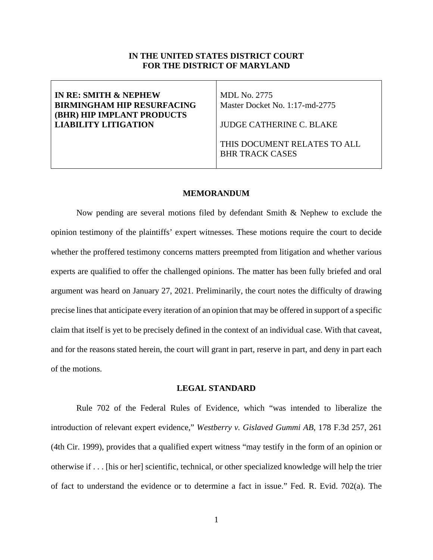## **IN THE UNITED STATES DISTRICT COURT FOR THE DISTRICT OF MARYLAND**

| IN RE: SMITH & NEPHEW<br><b>BIRMINGHAM HIP RESURFACING</b><br><b>(BHR) HIP IMPLANT PRODUCTS</b> | MDL No. 2775<br>Master Docket No. 1:17-md-2775         |
|-------------------------------------------------------------------------------------------------|--------------------------------------------------------|
| <b>LIABILITY LITIGATION</b>                                                                     | JUDGE CATHERINE C. BLAKE                               |
|                                                                                                 | THIS DOCUMENT RELATES TO ALL<br><b>BHR TRACK CASES</b> |

### **MEMORANDUM**

Now pending are several motions filed by defendant Smith & Nephew to exclude the opinion testimony of the plaintiffs' expert witnesses. These motions require the court to decide whether the proffered testimony concerns matters preempted from litigation and whether various experts are qualified to offer the challenged opinions. The matter has been fully briefed and oral argument was heard on January 27, 2021. Preliminarily, the court notes the difficulty of drawing precise lines that anticipate every iteration of an opinion that may be offered in support of a specific claim that itself is yet to be precisely defined in the context of an individual case. With that caveat, and for the reasons stated herein, the court will grant in part, reserve in part, and deny in part each of the motions.

#### **LEGAL STANDARD**

Rule 702 of the Federal Rules of Evidence, which "was intended to liberalize the introduction of relevant expert evidence," *Westberry v. Gislaved Gummi AB*, 178 F.3d 257, 261 (4th Cir. 1999), provides that a qualified expert witness "may testify in the form of an opinion or otherwise if . . . [his or her] scientific, technical, or other specialized knowledge will help the trier of fact to understand the evidence or to determine a fact in issue." Fed. R. Evid. 702(a). The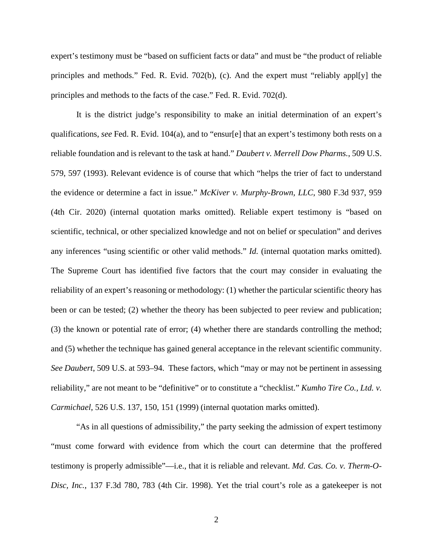expert's testimony must be "based on sufficient facts or data" and must be "the product of reliable principles and methods." Fed. R. Evid. 702(b), (c). And the expert must "reliably appl[y] the principles and methods to the facts of the case." Fed. R. Evid. 702(d).

It is the district judge's responsibility to make an initial determination of an expert's qualifications, *see* Fed. R. Evid. 104(a), and to "ensur[e] that an expert's testimony both rests on a reliable foundation and is relevant to the task at hand." *Daubert v. Merrell Dow Pharms.*, 509 U.S. 579, 597 (1993). Relevant evidence is of course that which "helps the trier of fact to understand the evidence or determine a fact in issue." *McKiver v. Murphy-Brown, LLC*, 980 F.3d 937, 959 (4th Cir. 2020) (internal quotation marks omitted). Reliable expert testimony is "based on scientific, technical, or other specialized knowledge and not on belief or speculation" and derives any inferences "using scientific or other valid methods." *Id.* (internal quotation marks omitted). The Supreme Court has identified five factors that the court may consider in evaluating the reliability of an expert's reasoning or methodology: (1) whether the particular scientific theory has been or can be tested; (2) whether the theory has been subjected to peer review and publication; (3) the known or potential rate of error; (4) whether there are standards controlling the method; and (5) whether the technique has gained general acceptance in the relevant scientific community. *See Daubert*, 509 U.S. at 593–94. These factors, which "may or may not be pertinent in assessing reliability," are not meant to be "definitive" or to constitute a "checklist." *Kumho Tire Co., Ltd. v. Carmichael*, 526 U.S. 137, 150, 151 (1999) (internal quotation marks omitted).

"As in all questions of admissibility," the party seeking the admission of expert testimony "must come forward with evidence from which the court can determine that the proffered testimony is properly admissible"—i.e., that it is reliable and relevant. *Md. Cas. Co. v. Therm-O-Disc, Inc.*, 137 F.3d 780, 783 (4th Cir. 1998). Yet the trial court's role as a gatekeeper is not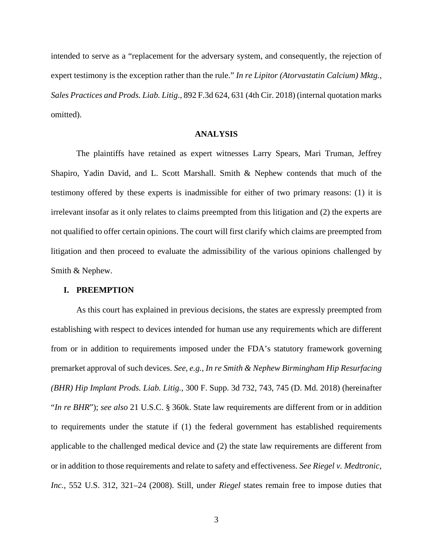intended to serve as a "replacement for the adversary system, and consequently, the rejection of expert testimony is the exception rather than the rule." *In re Lipitor (Atorvastatin Calcium) Mktg., Sales Practices and Prods. Liab. Litig*., 892 F.3d 624, 631 (4th Cir. 2018) (internal quotation marks omitted).

## **ANALYSIS**

The plaintiffs have retained as expert witnesses Larry Spears, Mari Truman, Jeffrey Shapiro, Yadin David, and L. Scott Marshall. Smith & Nephew contends that much of the testimony offered by these experts is inadmissible for either of two primary reasons: (1) it is irrelevant insofar as it only relates to claims preempted from this litigation and (2) the experts are not qualified to offer certain opinions. The court will first clarify which claims are preempted from litigation and then proceed to evaluate the admissibility of the various opinions challenged by Smith & Nephew.

#### **I. PREEMPTION**

As this court has explained in previous decisions, the states are expressly preempted from establishing with respect to devices intended for human use any requirements which are different from or in addition to requirements imposed under the FDA's statutory framework governing premarket approval of such devices. *See, e.g., In re Smith & Nephew Birmingham Hip Resurfacing (BHR) Hip Implant Prods. Liab. Litig.*, 300 F. Supp. 3d 732, 743, 745 (D. Md. 2018) (hereinafter "*In re BHR*"); *see also* 21 U.S.C. § 360k. State law requirements are different from or in addition to requirements under the statute if (1) the federal government has established requirements applicable to the challenged medical device and (2) the state law requirements are different from or in addition to those requirements and relate to safety and effectiveness. *See Riegel v. Medtronic, Inc.*, 552 U.S. 312, 321–24 (2008). Still, under *Riegel* states remain free to impose duties that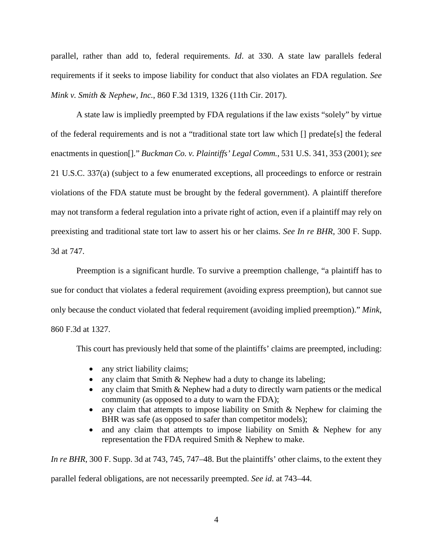parallel, rather than add to, federal requirements. *Id*. at 330. A state law parallels federal requirements if it seeks to impose liability for conduct that also violates an FDA regulation. *See Mink v. Smith & Nephew, Inc.*, 860 F.3d 1319, 1326 (11th Cir. 2017).

A state law is impliedly preempted by FDA regulations if the law exists "solely" by virtue of the federal requirements and is not a "traditional state tort law which [] predate[s] the federal enactments in question[]." *Buckman Co. v. Plaintiffs' Legal Comm.*, 531 U.S. 341, 353 (2001); *see* 21 U.S.C. 337(a) (subject to a few enumerated exceptions, all proceedings to enforce or restrain violations of the FDA statute must be brought by the federal government). A plaintiff therefore may not transform a federal regulation into a private right of action, even if a plaintiff may rely on preexisting and traditional state tort law to assert his or her claims. *See In re BHR*, 300 F. Supp. 3d at 747.

Preemption is a significant hurdle. To survive a preemption challenge, "a plaintiff has to sue for conduct that violates a federal requirement (avoiding express preemption), but cannot sue only because the conduct violated that federal requirement (avoiding implied preemption)." *Mink*, 860 F.3d at 1327.

This court has previously held that some of the plaintiffs' claims are preempted, including:

- any strict liability claims;
- any claim that Smith & Nephew had a duty to change its labeling;
- any claim that Smith & Nephew had a duty to directly warn patients or the medical community (as opposed to a duty to warn the FDA);
- any claim that attempts to impose liability on Smith & Nephew for claiming the BHR was safe (as opposed to safer than competitor models);
- and any claim that attempts to impose liability on Smith & Nephew for any representation the FDA required Smith & Nephew to make.

*In re BHR*, 300 F. Supp. 3d at 743, 745, 747–48. But the plaintiffs' other claims, to the extent they

parallel federal obligations, are not necessarily preempted. *See id*. at 743–44.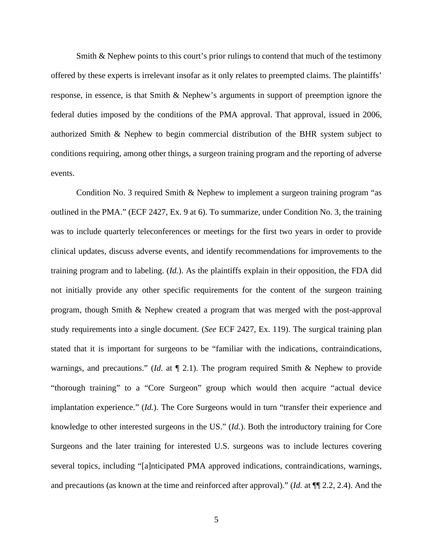Smith & Nephew points to this court's prior rulings to contend that much of the testimony offered by these experts is irrelevant insofar as it only relates to preempted claims. The plaintiffs' response, in essence, is that Smith & Nephew's arguments in support of preemption ignore the federal duties imposed by the conditions of the PMA approval. That approval, issued in 2006, authorized Smith & Nephew to begin commercial distribution of the BHR system subject to conditions requiring, among other things, a surgeon training program and the reporting of adverse events.

Condition No. 3 required Smith & Nephew to implement a surgeon training program "as outlined in the PMA." (ECF 2427, Ex. 9 at 6). To summarize, under Condition No. 3, the training was to include quarterly teleconferences or meetings for the first two years in order to provide clinical updates, discuss adverse events, and identify recommendations for improvements to the training program and to labeling. (*Id.*). As the plaintiffs explain in their opposition, the FDA did not initially provide any other specific requirements for the content of the surgeon training program, though Smith & Nephew created a program that was merged with the post-approval study requirements into a single document. (*See* ECF 2427, Ex. 119). The surgical training plan stated that it is important for surgeons to be "familiar with the indications, contraindications, warnings, and precautions." (*Id*. at ¶ 2.1). The program required Smith & Nephew to provide "thorough training" to a "Core Surgeon" group which would then acquire "actual device implantation experience." (*Id.*). The Core Surgeons would in turn "transfer their experience and knowledge to other interested surgeons in the US." (*Id.*). Both the introductory training for Core Surgeons and the later training for interested U.S. surgeons was to include lectures covering several topics, including "[a]nticipated PMA approved indications, contraindications, warnings, and precautions (as known at the time and reinforced after approval)." (*Id.* at ¶¶ 2.2, 2.4). And the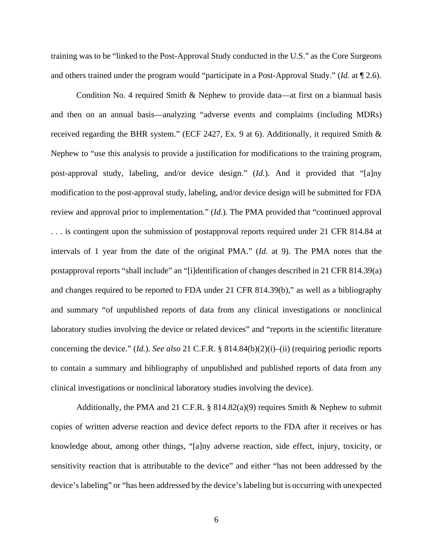training was to be "linked to the Post-Approval Study conducted in the U.S." as the Core Surgeons and others trained under the program would "participate in a Post-Approval Study." (*Id.* at ¶ 2.6).

Condition No. 4 required Smith & Nephew to provide data—at first on a biannual basis and then on an annual basis—analyzing "adverse events and complaints (including MDRs) received regarding the BHR system." (ECF 2427, Ex. 9 at 6). Additionally, it required Smith & Nephew to "use this analysis to provide a justification for modifications to the training program, post-approval study, labeling, and/or device design." (*Id.*). And it provided that "[a]ny modification to the post-approval study, labeling, and/or device design will be submitted for FDA review and approval prior to implementation." (*Id.*). The PMA provided that "continued approval . . . is contingent upon the submission of postapproval reports required under 21 CFR 814.84 at intervals of 1 year from the date of the original PMA." (*Id.* at 9). The PMA notes that the postapproval reports "shall include" an "[i]dentification of changes described in 21 CFR 814.39(a) and changes required to be reported to FDA under 21 CFR 814.39(b)," as well as a bibliography and summary "of unpublished reports of data from any clinical investigations or nonclinical laboratory studies involving the device or related devices" and "reports in the scientific literature concerning the device." (*Id.*). *See also* 21 C.F.R. § 814.84(b)(2)(i)–(ii) (requiring periodic reports to contain a summary and bibliography of unpublished and published reports of data from any clinical investigations or nonclinical laboratory studies involving the device).

Additionally, the PMA and 21 C.F.R.  $\S$  814.82(a)(9) requires Smith & Nephew to submit copies of written adverse reaction and device defect reports to the FDA after it receives or has knowledge about, among other things, "[a]ny adverse reaction, side effect, injury, toxicity, or sensitivity reaction that is attributable to the device" and either "has not been addressed by the device's labeling" or "has been addressed by the device'slabeling but is occurring with unexpected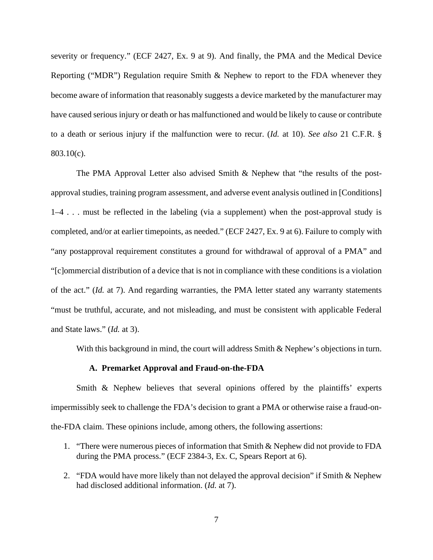severity or frequency." (ECF 2427, Ex. 9 at 9). And finally, the PMA and the Medical Device Reporting ("MDR") Regulation require Smith & Nephew to report to the FDA whenever they become aware of information that reasonably suggests a device marketed by the manufacturer may have caused serious injury or death or has malfunctioned and would be likely to cause or contribute to a death or serious injury if the malfunction were to recur. (*Id.* at 10). *See also* 21 C.F.R. § 803.10(c).

The PMA Approval Letter also advised Smith & Nephew that "the results of the postapproval studies, training program assessment, and adverse event analysis outlined in [Conditions] 1–4 . . . must be reflected in the labeling (via a supplement) when the post-approval study is completed, and/or at earlier timepoints, as needed." (ECF 2427, Ex. 9 at 6). Failure to comply with "any postapproval requirement constitutes a ground for withdrawal of approval of a PMA" and "[c]ommercial distribution of a device that is not in compliance with these conditions is a violation of the act." (*Id.* at 7). And regarding warranties, the PMA letter stated any warranty statements "must be truthful, accurate, and not misleading, and must be consistent with applicable Federal and State laws." (*Id.* at 3).

With this background in mind, the court will address Smith & Nephew's objections in turn.

#### **A. Premarket Approval and Fraud-on-the-FDA**

Smith & Nephew believes that several opinions offered by the plaintiffs' experts impermissibly seek to challenge the FDA's decision to grant a PMA or otherwise raise a fraud-onthe-FDA claim. These opinions include, among others, the following assertions:

- 1. "There were numerous pieces of information that Smith & Nephew did not provide to FDA during the PMA process." (ECF 2384-3, Ex. C, Spears Report at 6).
- 2. "FDA would have more likely than not delayed the approval decision" if Smith & Nephew had disclosed additional information. (*Id.* at 7).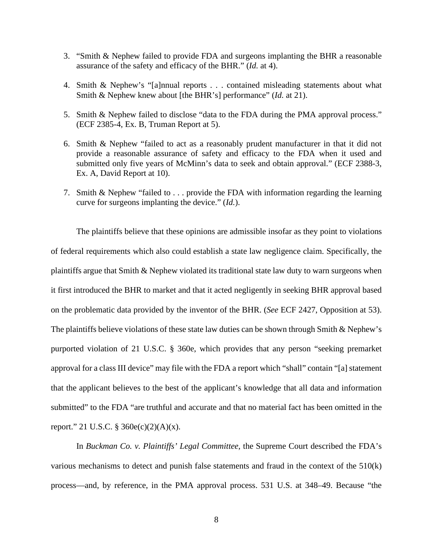- 3. "Smith & Nephew failed to provide FDA and surgeons implanting the BHR a reasonable assurance of the safety and efficacy of the BHR." (*Id.* at 4).
- 4. Smith & Nephew's "[a]nnual reports . . . contained misleading statements about what Smith & Nephew knew about [the BHR's] performance" (*Id.* at 21).
- 5. Smith & Nephew failed to disclose "data to the FDA during the PMA approval process." (ECF 2385-4, Ex. B, Truman Report at 5).
- 6. Smith & Nephew "failed to act as a reasonably prudent manufacturer in that it did not provide a reasonable assurance of safety and efficacy to the FDA when it used and submitted only five years of McMinn's data to seek and obtain approval." (ECF 2388-3, Ex. A, David Report at 10).
- 7. Smith & Nephew "failed to . . . provide the FDA with information regarding the learning curve for surgeons implanting the device." (*Id.*).

The plaintiffs believe that these opinions are admissible insofar as they point to violations of federal requirements which also could establish a state law negligence claim. Specifically, the plaintiffs argue that Smith  $\&$  Nephew violated its traditional state law duty to warn surgeons when it first introduced the BHR to market and that it acted negligently in seeking BHR approval based on the problematic data provided by the inventor of the BHR. (*See* ECF 2427, Opposition at 53). The plaintiffs believe violations of these state law duties can be shown through Smith & Nephew's purported violation of 21 U.S.C. § 360e, which provides that any person "seeking premarket approval for a class III device" may file with the FDA a report which "shall" contain "[a] statement that the applicant believes to the best of the applicant's knowledge that all data and information submitted" to the FDA "are truthful and accurate and that no material fact has been omitted in the report." 21 U.S.C.  $\S$  360e(c)(2)(A)(x).

In *Buckman Co. v. Plaintiffs' Legal Committee*, the Supreme Court described the FDA's various mechanisms to detect and punish false statements and fraud in the context of the 510(k) process—and, by reference, in the PMA approval process. 531 U.S. at 348–49. Because "the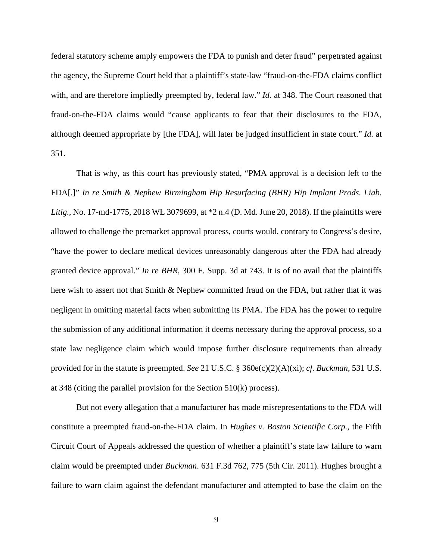federal statutory scheme amply empowers the FDA to punish and deter fraud" perpetrated against the agency, the Supreme Court held that a plaintiff's state-law "fraud-on-the-FDA claims conflict with, and are therefore impliedly preempted by, federal law." *Id.* at 348. The Court reasoned that fraud-on-the-FDA claims would "cause applicants to fear that their disclosures to the FDA, although deemed appropriate by [the FDA], will later be judged insufficient in state court." *Id.* at 351.

That is why, as this court has previously stated, "PMA approval is a decision left to the FDA[.]" *In re Smith & Nephew Birmingham Hip Resurfacing (BHR) Hip Implant Prods. Liab. Litig.*, No. 17-md-1775, 2018 WL 3079699, at \*2 n.4 (D. Md. June 20, 2018). If the plaintiffs were allowed to challenge the premarket approval process, courts would, contrary to Congress's desire, "have the power to declare medical devices unreasonably dangerous after the FDA had already granted device approval." *In re BHR*, 300 F. Supp. 3d at 743. It is of no avail that the plaintiffs here wish to assert not that Smith & Nephew committed fraud on the FDA, but rather that it was negligent in omitting material facts when submitting its PMA. The FDA has the power to require the submission of any additional information it deems necessary during the approval process, so a state law negligence claim which would impose further disclosure requirements than already provided for in the statute is preempted. *See* 21 U.S.C. § 360e(c)(2)(A)(xi); *cf. Buckman*, 531 U.S. at 348 (citing the parallel provision for the Section 510(k) process).

But not every allegation that a manufacturer has made misrepresentations to the FDA will constitute a preempted fraud-on-the-FDA claim. In *Hughes v. Boston Scientific Corp.*, the Fifth Circuit Court of Appeals addressed the question of whether a plaintiff's state law failure to warn claim would be preempted under *Buckman*. 631 F.3d 762, 775 (5th Cir. 2011). Hughes brought a failure to warn claim against the defendant manufacturer and attempted to base the claim on the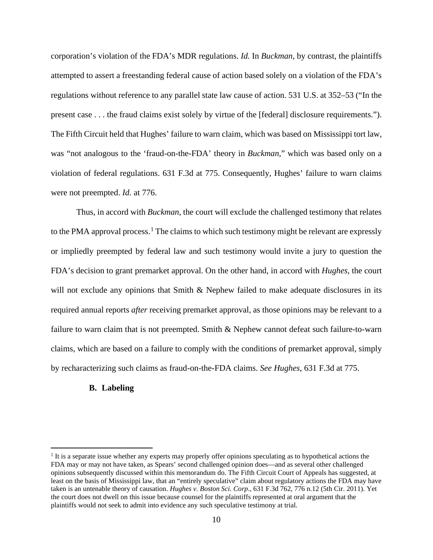corporation's violation of the FDA's MDR regulations. *Id.* In *Buckman*, by contrast, the plaintiffs attempted to assert a freestanding federal cause of action based solely on a violation of the FDA's regulations without reference to any parallel state law cause of action. 531 U.S. at 352–53 ("In the present case . . . the fraud claims exist solely by virtue of the [federal] disclosure requirements."). The Fifth Circuit held that Hughes' failure to warn claim, which was based on Mississippi tort law, was "not analogous to the 'fraud-on-the-FDA' theory in *Buckman*," which was based only on a violation of federal regulations. 631 F.3d at 775. Consequently, Hughes' failure to warn claims were not preempted. *Id.* at 776.

Thus, in accord with *Buckman*, the court will exclude the challenged testimony that relates to the PMA approval process.<sup>[1](#page-9-0)</sup> The claims to which such testimony might be relevant are expressly or impliedly preempted by federal law and such testimony would invite a jury to question the FDA's decision to grant premarket approval. On the other hand, in accord with *Hughes*, the court will not exclude any opinions that Smith & Nephew failed to make adequate disclosures in its required annual reports *after* receiving premarket approval, as those opinions may be relevant to a failure to warn claim that is not preempted. Smith & Nephew cannot defeat such failure-to-warn claims, which are based on a failure to comply with the conditions of premarket approval, simply by recharacterizing such claims as fraud-on-the-FDA claims. *See Hughes*, 631 F.3d at 775.

#### **B. Labeling**

<span id="page-9-0"></span><sup>1</sup> It is a separate issue whether any experts may properly offer opinions speculating as to hypothetical actions the FDA may or may not have taken, as Spears' second challenged opinion does—and as several other challenged opinions subsequently discussed within this memorandum do. The Fifth Circuit Court of Appeals has suggested, at least on the basis of Mississippi law, that an "entirely speculative" claim about regulatory actions the FDA may have taken is an untenable theory of causation. *Hughes v. Boston Sci. Corp.*, 631 F.3d 762, 776 n.12 (5th Cir. 2011). Yet the court does not dwell on this issue because counsel for the plaintiffs represented at oral argument that the plaintiffs would not seek to admit into evidence any such speculative testimony at trial.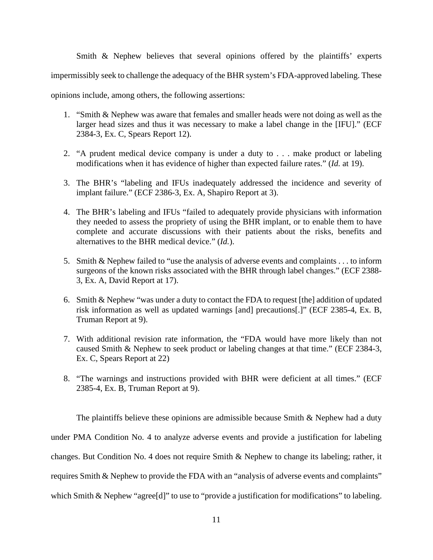Smith & Nephew believes that several opinions offered by the plaintiffs' experts impermissibly seek to challenge the adequacy of the BHR system's FDA-approved labeling. These opinions include, among others, the following assertions:

- 1. "Smith & Nephew was aware that females and smaller heads were not doing as well as the larger head sizes and thus it was necessary to make a label change in the [IFU]." (ECF 2384-3, Ex. C, Spears Report 12).
- 2. "A prudent medical device company is under a duty to . . . make product or labeling modifications when it has evidence of higher than expected failure rates." (*Id.* at 19).
- 3. The BHR's "labeling and IFUs inadequately addressed the incidence and severity of implant failure." (ECF 2386-3, Ex. A, Shapiro Report at 3).
- 4. The BHR's labeling and IFUs "failed to adequately provide physicians with information they needed to assess the propriety of using the BHR implant, or to enable them to have complete and accurate discussions with their patients about the risks, benefits and alternatives to the BHR medical device." (*Id.*).
- 5. Smith & Nephew failed to "use the analysis of adverse events and complaints . . . to inform surgeons of the known risks associated with the BHR through label changes." (ECF 2388- 3, Ex. A, David Report at 17).
- 6. Smith & Nephew "was under a duty to contact the FDA to request [the] addition of updated risk information as well as updated warnings [and] precautions[.]" (ECF 2385-4, Ex. B, Truman Report at 9).
- 7. With additional revision rate information, the "FDA would have more likely than not caused Smith & Nephew to seek product or labeling changes at that time." (ECF 2384-3, Ex. C, Spears Report at 22)
- 8. "The warnings and instructions provided with BHR were deficient at all times." (ECF 2385-4, Ex. B, Truman Report at 9).

The plaintiffs believe these opinions are admissible because Smith  $\&$  Nephew had a duty under PMA Condition No. 4 to analyze adverse events and provide a justification for labeling changes. But Condition No. 4 does not require Smith & Nephew to change its labeling; rather, it requires Smith & Nephew to provide the FDA with an "analysis of adverse events and complaints" which Smith & Nephew "agree<sup>[d]"</sup> to use to "provide a justification for modifications" to labeling.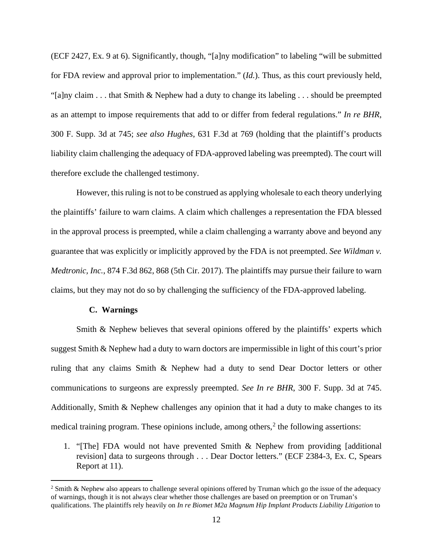(ECF 2427, Ex. 9 at 6). Significantly, though, "[a]ny modification" to labeling "will be submitted for FDA review and approval prior to implementation." (*Id.*). Thus, as this court previously held, "[a]ny claim . . . that Smith & Nephew had a duty to change its labeling . . . should be preempted as an attempt to impose requirements that add to or differ from federal regulations." *In re BHR*, 300 F. Supp. 3d at 745; *see also Hughes*, 631 F.3d at 769 (holding that the plaintiff's products liability claim challenging the adequacy of FDA-approved labeling was preempted). The court will therefore exclude the challenged testimony.

However, this ruling is not to be construed as applying wholesale to each theory underlying the plaintiffs' failure to warn claims. A claim which challenges a representation the FDA blessed in the approval process is preempted, while a claim challenging a warranty above and beyond any guarantee that was explicitly or implicitly approved by the FDA is not preempted. *See Wildman v. Medtronic, Inc.*, 874 F.3d 862, 868 (5th Cir. 2017). The plaintiffs may pursue their failure to warn claims, but they may not do so by challenging the sufficiency of the FDA-approved labeling.

#### **C. Warnings**

Smith & Nephew believes that several opinions offered by the plaintiffs' experts which suggest Smith & Nephew had a duty to warn doctors are impermissible in light of this court's prior ruling that any claims Smith & Nephew had a duty to send Dear Doctor letters or other communications to surgeons are expressly preempted. *See In re BHR*, 300 F. Supp. 3d at 745. Additionally, Smith & Nephew challenges any opinion that it had a duty to make changes to its medical training program. These opinions include, among others,  $2$  the following assertions:

1. "[The] FDA would not have prevented Smith & Nephew from providing [additional revision] data to surgeons through . . . Dear Doctor letters." (ECF 2384-3, Ex. C, Spears Report at 11).

<span id="page-11-0"></span><sup>&</sup>lt;sup>2</sup> Smith & Nephew also appears to challenge several opinions offered by Truman which go the issue of the adequacy of warnings, though it is not always clear whether those challenges are based on preemption or on Truman's qualifications. The plaintiffs rely heavily on *In re Biomet M2a Magnum Hip Implant Products Liability Litigation* to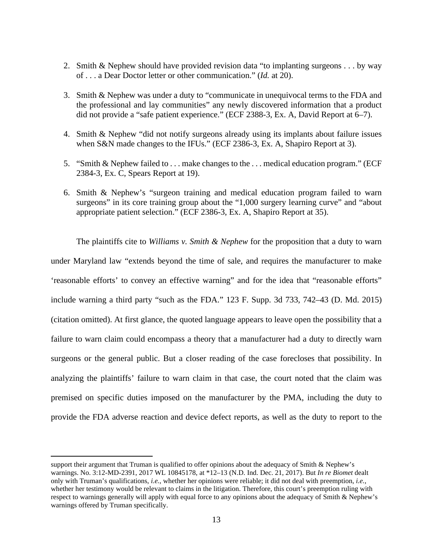- 2. Smith & Nephew should have provided revision data "to implanting surgeons . . . by way of . . . a Dear Doctor letter or other communication." (*Id.* at 20).
- 3. Smith & Nephew was under a duty to "communicate in unequivocal terms to the FDA and the professional and lay communities" any newly discovered information that a product did not provide a "safe patient experience." (ECF 2388-3, Ex. A, David Report at 6–7).
- 4. Smith & Nephew "did not notify surgeons already using its implants about failure issues when S&N made changes to the IFUs." (ECF 2386-3, Ex. A, Shapiro Report at 3).
- 5. "Smith & Nephew failed to . . . make changes to the . . . medical education program." (ECF 2384-3, Ex. C, Spears Report at 19).
- 6. Smith & Nephew's "surgeon training and medical education program failed to warn surgeons" in its core training group about the "1,000 surgery learning curve" and "about appropriate patient selection." (ECF 2386-3, Ex. A, Shapiro Report at 35).

The plaintiffs cite to *Williams v. Smith & Nephew* for the proposition that a duty to warn under Maryland law "extends beyond the time of sale, and requires the manufacturer to make 'reasonable efforts' to convey an effective warning" and for the idea that "reasonable efforts" include warning a third party "such as the FDA." 123 F. Supp. 3d 733, 742–43 (D. Md. 2015) (citation omitted). At first glance, the quoted language appears to leave open the possibility that a failure to warn claim could encompass a theory that a manufacturer had a duty to directly warn surgeons or the general public. But a closer reading of the case forecloses that possibility. In analyzing the plaintiffs' failure to warn claim in that case, the court noted that the claim was premised on specific duties imposed on the manufacturer by the PMA, including the duty to provide the FDA adverse reaction and device defect reports, as well as the duty to report to the

support their argument that Truman is qualified to offer opinions about the adequacy of Smith & Nephew's warnings. No. 3:12-MD-2391, 2017 WL 10845178, at \*12–13 (N.D. Ind. Dec. 21, 2017). But *In re Biomet* dealt only with Truman's qualifications, *i.e.*, whether her opinions were reliable; it did not deal with preemption, *i.e.*, whether her testimony would be relevant to claims in the litigation. Therefore, this court's preemption ruling with respect to warnings generally will apply with equal force to any opinions about the adequacy of Smith & Nephew's warnings offered by Truman specifically.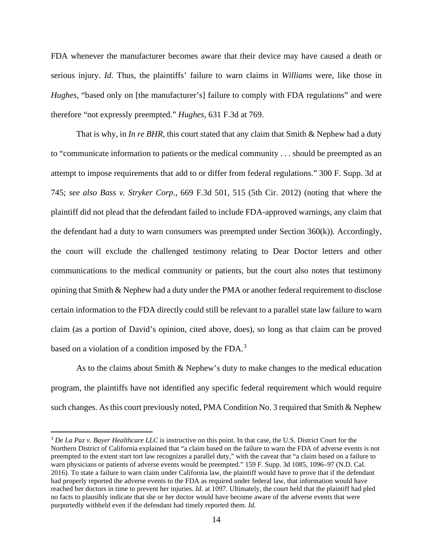FDA whenever the manufacturer becomes aware that their device may have caused a death or serious injury. *Id*. Thus, the plaintiffs' failure to warn claims in *Williams* were, like those in *Hughes*, "based only on [the manufacturer's] failure to comply with FDA regulations" and were therefore "not expressly preempted." *Hughes*, 631 F.3d at 769.

That is why, in *In re BHR*, this court stated that any claim that Smith & Nephew had a duty to "communicate information to patients or the medical community . . . should be preempted as an attempt to impose requirements that add to or differ from federal regulations." 300 F. Supp. 3d at 745; *see also Bass v. Stryker Corp*., 669 F.3d 501, 515 (5th Cir. 2012) (noting that where the plaintiff did not plead that the defendant failed to include FDA-approved warnings, any claim that the defendant had a duty to warn consumers was preempted under Section 360(k)). Accordingly, the court will exclude the challenged testimony relating to Dear Doctor letters and other communications to the medical community or patients, but the court also notes that testimony opining that Smith & Nephew had a duty under the PMA or another federal requirement to disclose certain information to the FDA directly could still be relevant to a parallel state law failure to warn claim (as a portion of David's opinion, cited above, does), so long as that claim can be proved based on a violation of a condition imposed by the FDA.<sup>[3](#page-13-0)</sup>

As to the claims about Smith & Nephew's duty to make changes to the medical education program, the plaintiffs have not identified any specific federal requirement which would require such changes. As this court previously noted, PMA Condition No. 3 required that Smith & Nephew

<span id="page-13-0"></span><sup>3</sup> *De La Paz v. Bayer Healthcare LLC* is instructive on this point. In that case, the U.S. District Court for the Northern District of California explained that "a claim based on the failure to warn the FDA of adverse events is not preempted to the extent start tort law recognizes a parallel duty," with the caveat that "a claim based on a failure to warn physicians or patients of adverse events would be preempted." 159 F. Supp. 3d 1085, 1096–97 (N.D. Cal. 2016). To state a failure to warn claim under California law, the plaintiff would have to prove that if the defendant had properly reported the adverse events to the FDA as required under federal law, that information would have reached her doctors in time to prevent her injuries. *Id.* at 1097. Ultimately, the court held that the plaintiff had pled no facts to plausibly indicate that she or her doctor would have become aware of the adverse events that were purportedly withheld even if the defendant had timely reported them. *Id.*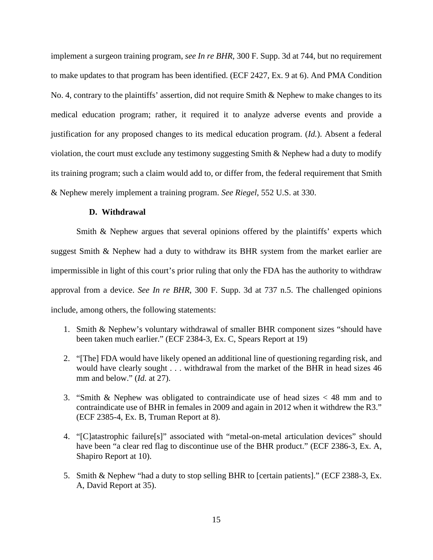implement a surgeon training program, *see In re BHR*, 300 F. Supp. 3d at 744, but no requirement to make updates to that program has been identified. (ECF 2427, Ex. 9 at 6). And PMA Condition No. 4, contrary to the plaintiffs' assertion, did not require Smith & Nephew to make changes to its medical education program; rather, it required it to analyze adverse events and provide a justification for any proposed changes to its medical education program. (*Id.*). Absent a federal violation, the court must exclude any testimony suggesting Smith & Nephew had a duty to modify its training program; such a claim would add to, or differ from, the federal requirement that Smith & Nephew merely implement a training program. *See Riegel*, 552 U.S. at 330.

## **D. Withdrawal**

Smith & Nephew argues that several opinions offered by the plaintiffs' experts which suggest Smith & Nephew had a duty to withdraw its BHR system from the market earlier are impermissible in light of this court's prior ruling that only the FDA has the authority to withdraw approval from a device. *See In re BHR*, 300 F. Supp. 3d at 737 n.5. The challenged opinions include, among others, the following statements:

- 1. Smith & Nephew's voluntary withdrawal of smaller BHR component sizes "should have been taken much earlier." (ECF 2384-3, Ex. C, Spears Report at 19)
- 2. "[The] FDA would have likely opened an additional line of questioning regarding risk, and would have clearly sought . . . withdrawal from the market of the BHR in head sizes 46 mm and below." *(Id.* at 27).
- 3. "Smith & Nephew was obligated to contraindicate use of head sizes < 48 mm and to contraindicate use of BHR in females in 2009 and again in 2012 when it withdrew the R3." (ECF 2385-4, Ex. B, Truman Report at 8).
- 4. "[C]atastrophic failure[s]" associated with "metal-on-metal articulation devices" should have been "a clear red flag to discontinue use of the BHR product." (ECF 2386-3, Ex. A, Shapiro Report at 10).
- 5. Smith & Nephew "had a duty to stop selling BHR to [certain patients]." (ECF 2388-3, Ex. A, David Report at 35).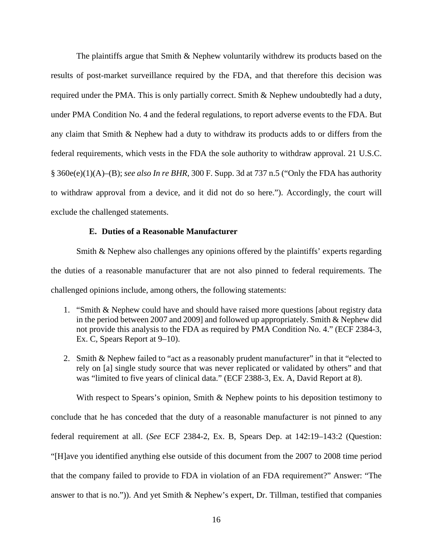The plaintiffs argue that Smith & Nephew voluntarily withdrew its products based on the results of post-market surveillance required by the FDA, and that therefore this decision was required under the PMA. This is only partially correct. Smith & Nephew undoubtedly had a duty, under PMA Condition No. 4 and the federal regulations, to report adverse events to the FDA. But any claim that Smith & Nephew had a duty to withdraw its products adds to or differs from the federal requirements, which vests in the FDA the sole authority to withdraw approval. 21 U.S.C. § 360e(e)(1)(A)–(B); *see also In re BHR*, 300 F. Supp. 3d at 737 n.5 ("Only the FDA has authority to withdraw approval from a device, and it did not do so here."). Accordingly, the court will exclude the challenged statements.

### **E. Duties of a Reasonable Manufacturer**

Smith & Nephew also challenges any opinions offered by the plaintiffs' experts regarding the duties of a reasonable manufacturer that are not also pinned to federal requirements. The challenged opinions include, among others, the following statements:

- 1. "Smith & Nephew could have and should have raised more questions [about registry data in the period between 2007 and 2009] and followed up appropriately. Smith & Nephew did not provide this analysis to the FDA as required by PMA Condition No. 4." (ECF 2384-3, Ex. C, Spears Report at 9–10).
- 2. Smith & Nephew failed to "act as a reasonably prudent manufacturer" in that it "elected to rely on [a] single study source that was never replicated or validated by others" and that was "limited to five years of clinical data." (ECF 2388-3, Ex. A, David Report at 8).

With respect to Spears's opinion, Smith & Nephew points to his deposition testimony to conclude that he has conceded that the duty of a reasonable manufacturer is not pinned to any federal requirement at all. (*See* ECF 2384-2, Ex. B, Spears Dep. at 142:19–143:2 (Question: "[H]ave you identified anything else outside of this document from the 2007 to 2008 time period that the company failed to provide to FDA in violation of an FDA requirement?" Answer: "The answer to that is no.")). And yet Smith & Nephew's expert, Dr. Tillman, testified that companies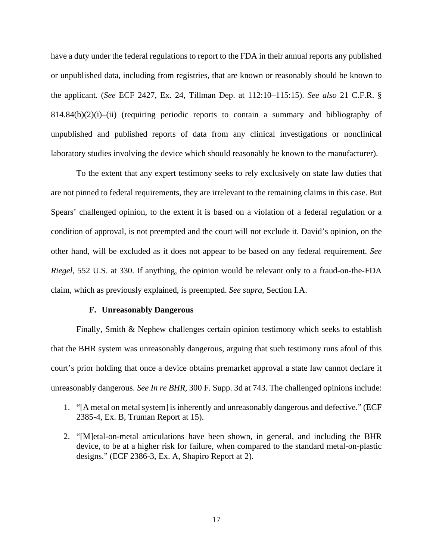have a duty under the federal regulations to report to the FDA in their annual reports any published or unpublished data, including from registries, that are known or reasonably should be known to the applicant. (*See* ECF 2427, Ex. 24, Tillman Dep. at 112:10–115:15). *See also* 21 C.F.R. §  $814.84(b)(2)(i)$ –(ii) (requiring periodic reports to contain a summary and bibliography of unpublished and published reports of data from any clinical investigations or nonclinical laboratory studies involving the device which should reasonably be known to the manufacturer).

To the extent that any expert testimony seeks to rely exclusively on state law duties that are not pinned to federal requirements, they are irrelevant to the remaining claims in this case. But Spears' challenged opinion, to the extent it is based on a violation of a federal regulation or a condition of approval, is not preempted and the court will not exclude it. David's opinion, on the other hand, will be excluded as it does not appear to be based on any federal requirement. *See Riegel*, 552 U.S. at 330. If anything, the opinion would be relevant only to a fraud-on-the-FDA claim, which as previously explained, is preempted. *See supra*, Section I.A.

#### **F. Unreasonably Dangerous**

Finally, Smith & Nephew challenges certain opinion testimony which seeks to establish that the BHR system was unreasonably dangerous, arguing that such testimony runs afoul of this court's prior holding that once a device obtains premarket approval a state law cannot declare it unreasonably dangerous. *See In re BHR*, 300 F. Supp. 3d at 743. The challenged opinions include:

- 1. "[A metal on metal system] is inherently and unreasonably dangerous and defective." (ECF 2385-4, Ex. B, Truman Report at 15).
- 2. "[M]etal-on-metal articulations have been shown, in general, and including the BHR device, to be at a higher risk for failure, when compared to the standard metal-on-plastic designs." (ECF 2386-3, Ex. A, Shapiro Report at 2).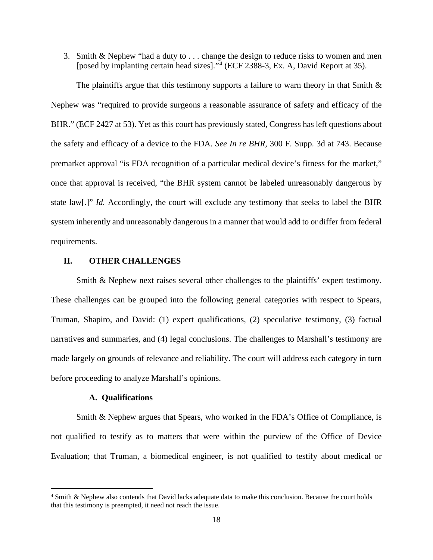3. Smith & Nephew "had a duty to . . . change the design to reduce risks to women and men [posed by implanting certain head sizes]."[4](#page-17-0) (ECF 2388-3, Ex. A, David Report at 35).

The plaintiffs argue that this testimony supports a failure to warn theory in that Smith  $\&$ Nephew was "required to provide surgeons a reasonable assurance of safety and efficacy of the BHR." (ECF 2427 at 53). Yet as this court has previously stated, Congress has left questions about the safety and efficacy of a device to the FDA. *See In re BHR*, 300 F. Supp. 3d at 743. Because premarket approval "is FDA recognition of a particular medical device's fitness for the market," once that approval is received, "the BHR system cannot be labeled unreasonably dangerous by state law[.]" *Id.* Accordingly, the court will exclude any testimony that seeks to label the BHR system inherently and unreasonably dangerous in a manner that would add to or differ from federal requirements.

## **II. OTHER CHALLENGES**

Smith & Nephew next raises several other challenges to the plaintiffs' expert testimony. These challenges can be grouped into the following general categories with respect to Spears, Truman, Shapiro, and David: (1) expert qualifications, (2) speculative testimony, (3) factual narratives and summaries, and (4) legal conclusions. The challenges to Marshall's testimony are made largely on grounds of relevance and reliability. The court will address each category in turn before proceeding to analyze Marshall's opinions.

## **A. Qualifications**

Smith & Nephew argues that Spears, who worked in the FDA's Office of Compliance, is not qualified to testify as to matters that were within the purview of the Office of Device Evaluation; that Truman, a biomedical engineer, is not qualified to testify about medical or

<span id="page-17-0"></span><sup>4</sup> Smith & Nephew also contends that David lacks adequate data to make this conclusion. Because the court holds that this testimony is preempted, it need not reach the issue.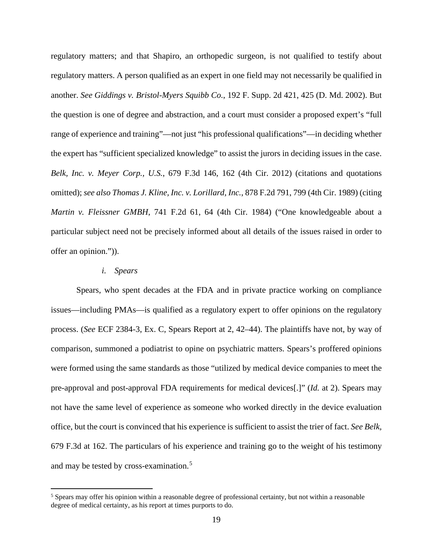regulatory matters; and that Shapiro, an orthopedic surgeon, is not qualified to testify about regulatory matters. A person qualified as an expert in one field may not necessarily be qualified in another. *See Giddings v. Bristol-Myers Squibb Co.*, 192 F. Supp. 2d 421, 425 (D. Md. 2002). But the question is one of degree and abstraction, and a court must consider a proposed expert's "full range of experience and training"—not just "his professional qualifications"—in deciding whether the expert has "sufficient specialized knowledge" to assist the jurors in deciding issues in the case. *Belk, Inc. v. Meyer Corp., U.S.*, 679 F.3d 146, 162 (4th Cir. 2012) (citations and quotations omitted); *see also Thomas J. Kline, Inc. v. Lorillard, Inc.*, 878 F.2d 791, 799 (4th Cir. 1989) (citing *Martin v. Fleissner GMBH*, 741 F.2d 61, 64 (4th Cir. 1984) ("One knowledgeable about a particular subject need not be precisely informed about all details of the issues raised in order to offer an opinion.")).

#### *i. Spears*

Spears, who spent decades at the FDA and in private practice working on compliance issues—including PMAs—is qualified as a regulatory expert to offer opinions on the regulatory process. (*See* ECF 2384-3, Ex. C, Spears Report at 2, 42–44). The plaintiffs have not, by way of comparison, summoned a podiatrist to opine on psychiatric matters. Spears's proffered opinions were formed using the same standards as those "utilized by medical device companies to meet the pre-approval and post-approval FDA requirements for medical devices[.]" (*Id.* at 2). Spears may not have the same level of experience as someone who worked directly in the device evaluation office, but the court is convinced that his experience is sufficient to assist the trier of fact. *See Belk,*  679 F.3d at 162. The particulars of his experience and training go to the weight of his testimony and may be tested by cross-examination.[5](#page-18-0)

<span id="page-18-0"></span><sup>&</sup>lt;sup>5</sup> Spears may offer his opinion within a reasonable degree of professional certainty, but not within a reasonable degree of medical certainty, as his report at times purports to do.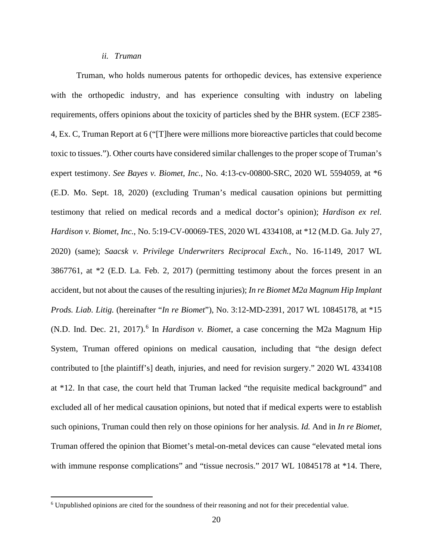#### *ii. Truman*

Truman, who holds numerous patents for orthopedic devices, has extensive experience with the orthopedic industry, and has experience consulting with industry on labeling requirements, offers opinions about the toxicity of particles shed by the BHR system. (ECF 2385- 4, Ex. C, Truman Report at 6 ("[T]here were millions more bioreactive particles that could become toxic to tissues."). Other courts have considered similar challenges to the proper scope of Truman's expert testimony. *See Bayes v. Biomet, Inc.,* No. 4:13-cv-00800-SRC, 2020 WL 5594059, at \*6 (E.D. Mo. Sept. 18, 2020) (excluding Truman's medical causation opinions but permitting testimony that relied on medical records and a medical doctor's opinion); *Hardison ex rel. Hardison v. Biomet, Inc.*, No. 5:19-CV-00069-TES, 2020 WL 4334108, at \*12 (M.D. Ga. July 27, 2020) (same); *Saacsk v. Privilege Underwriters Reciprocal Exch.*, No. 16-1149, 2017 WL 3867761, at \*2 (E.D. La. Feb. 2, 2017) (permitting testimony about the forces present in an accident, but not about the causes of the resulting injuries); *In re Biomet M2a Magnum Hip Implant Prods. Liab. Litig.* (hereinafter "*In re Biomet*"), No. 3:12-MD-2391, 2017 WL 10845178, at \*15 (N.D. Ind. Dec. 21, 2017).[6](#page-19-0) In *Hardison v. Biomet*, a case concerning the M2a Magnum Hip System, Truman offered opinions on medical causation, including that "the design defect contributed to [the plaintiff's] death, injuries, and need for revision surgery." 2020 WL 4334108 at \*12. In that case, the court held that Truman lacked "the requisite medical background" and excluded all of her medical causation opinions, but noted that if medical experts were to establish such opinions, Truman could then rely on those opinions for her analysis. *Id.* And in *In re Biomet*, Truman offered the opinion that Biomet's metal-on-metal devices can cause "elevated metal ions with immune response complications" and "tissue necrosis." 2017 WL 10845178 at \*14. There,

<span id="page-19-0"></span><sup>6</sup> Unpublished opinions are cited for the soundness of their reasoning and not for their precedential value.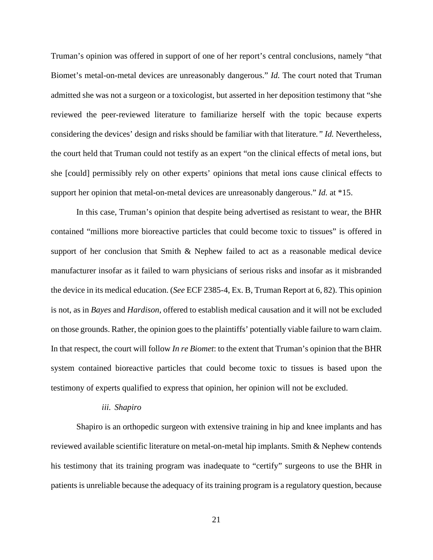Truman's opinion was offered in support of one of her report's central conclusions, namely "that Biomet's metal-on-metal devices are unreasonably dangerous." *Id.* The court noted that Truman admitted she was not a surgeon or a toxicologist, but asserted in her deposition testimony that "she reviewed the peer-reviewed literature to familiarize herself with the topic because experts considering the devices' design and risks should be familiar with that literature*." Id.* Nevertheless, the court held that Truman could not testify as an expert "on the clinical effects of metal ions, but she [could] permissibly rely on other experts' opinions that metal ions cause clinical effects to support her opinion that metal-on-metal devices are unreasonably dangerous." *Id.* at \*15.

In this case, Truman's opinion that despite being advertised as resistant to wear, the BHR contained "millions more bioreactive particles that could become toxic to tissues" is offered in support of her conclusion that Smith & Nephew failed to act as a reasonable medical device manufacturer insofar as it failed to warn physicians of serious risks and insofar as it misbranded the device in its medical education. (*See* ECF 2385-4, Ex. B, Truman Report at 6, 82). This opinion is not, as in *Bayes* and *Hardison*, offered to establish medical causation and it will not be excluded on those grounds. Rather, the opinion goes to the plaintiffs' potentially viable failure to warn claim. In that respect, the court will follow *In re Biomet*: to the extent that Truman's opinion that the BHR system contained bioreactive particles that could become toxic to tissues is based upon the testimony of experts qualified to express that opinion, her opinion will not be excluded.

#### *iii. Shapiro*

Shapiro is an orthopedic surgeon with extensive training in hip and knee implants and has reviewed available scientific literature on metal-on-metal hip implants. Smith & Nephew contends his testimony that its training program was inadequate to "certify" surgeons to use the BHR in patients is unreliable because the adequacy of its training program is a regulatory question, because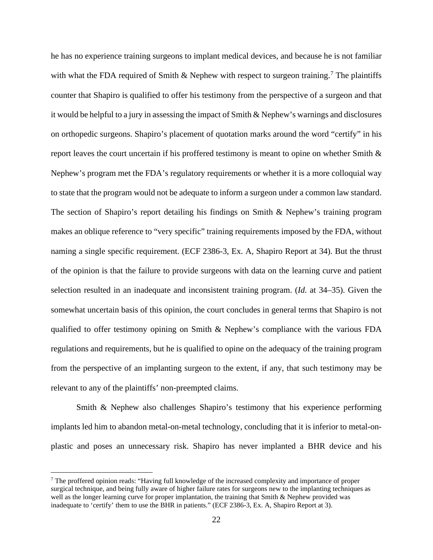he has no experience training surgeons to implant medical devices, and because he is not familiar with what the FDA required of Smith & Nephew with respect to surgeon training.<sup>[7](#page-21-0)</sup> The plaintiffs counter that Shapiro is qualified to offer his testimony from the perspective of a surgeon and that it would be helpful to a jury in assessing the impact of Smith & Nephew's warnings and disclosures on orthopedic surgeons. Shapiro's placement of quotation marks around the word "certify" in his report leaves the court uncertain if his proffered testimony is meant to opine on whether Smith & Nephew's program met the FDA's regulatory requirements or whether it is a more colloquial way to state that the program would not be adequate to inform a surgeon under a common law standard. The section of Shapiro's report detailing his findings on Smith & Nephew's training program makes an oblique reference to "very specific" training requirements imposed by the FDA, without naming a single specific requirement. (ECF 2386-3, Ex. A, Shapiro Report at 34). But the thrust of the opinion is that the failure to provide surgeons with data on the learning curve and patient selection resulted in an inadequate and inconsistent training program. (*Id.* at 34–35). Given the somewhat uncertain basis of this opinion, the court concludes in general terms that Shapiro is not qualified to offer testimony opining on Smith & Nephew's compliance with the various FDA regulations and requirements, but he is qualified to opine on the adequacy of the training program from the perspective of an implanting surgeon to the extent, if any, that such testimony may be relevant to any of the plaintiffs' non-preempted claims.

Smith & Nephew also challenges Shapiro's testimony that his experience performing implants led him to abandon metal-on-metal technology, concluding that it is inferior to metal-onplastic and poses an unnecessary risk. Shapiro has never implanted a BHR device and his

<span id="page-21-0"></span><sup>7</sup> The proffered opinion reads: "Having full knowledge of the increased complexity and importance of proper surgical technique, and being fully aware of higher failure rates for surgeons new to the implanting techniques as well as the longer learning curve for proper implantation, the training that Smith & Nephew provided was inadequate to 'certify' them to use the BHR in patients." (ECF 2386-3, Ex. A, Shapiro Report at 3).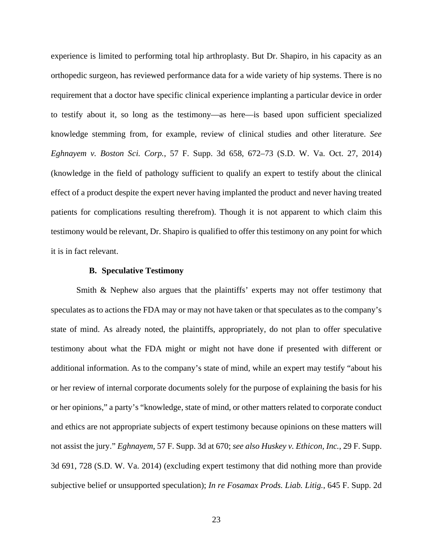experience is limited to performing total hip arthroplasty. But Dr. Shapiro, in his capacity as an orthopedic surgeon, has reviewed performance data for a wide variety of hip systems. There is no requirement that a doctor have specific clinical experience implanting a particular device in order to testify about it, so long as the testimony—as here—is based upon sufficient specialized knowledge stemming from, for example, review of clinical studies and other literature. *See Eghnayem v. Boston Sci. Corp.*, 57 F. Supp. 3d 658, 672–73 (S.D. W. Va. Oct. 27, 2014) (knowledge in the field of pathology sufficient to qualify an expert to testify about the clinical effect of a product despite the expert never having implanted the product and never having treated patients for complications resulting therefrom). Though it is not apparent to which claim this testimony would be relevant, Dr. Shapiro is qualified to offer this testimony on any point for which it is in fact relevant.

## **B. Speculative Testimony**

Smith & Nephew also argues that the plaintiffs' experts may not offer testimony that speculates as to actions the FDA may or may not have taken or that speculates as to the company's state of mind. As already noted, the plaintiffs, appropriately, do not plan to offer speculative testimony about what the FDA might or might not have done if presented with different or additional information. As to the company's state of mind, while an expert may testify "about his or her review of internal corporate documents solely for the purpose of explaining the basis for his or her opinions," a party's "knowledge, state of mind, or other matters related to corporate conduct and ethics are not appropriate subjects of expert testimony because opinions on these matters will not assist the jury." *Eghnayem*, 57 F. Supp. 3d at 670; *see also Huskey v. Ethicon, Inc.*, 29 F. Supp. 3d 691, 728 (S.D. W. Va. 2014) (excluding expert testimony that did nothing more than provide subjective belief or unsupported speculation); *In re Fosamax Prods. Liab. Litig.*, 645 F. Supp. 2d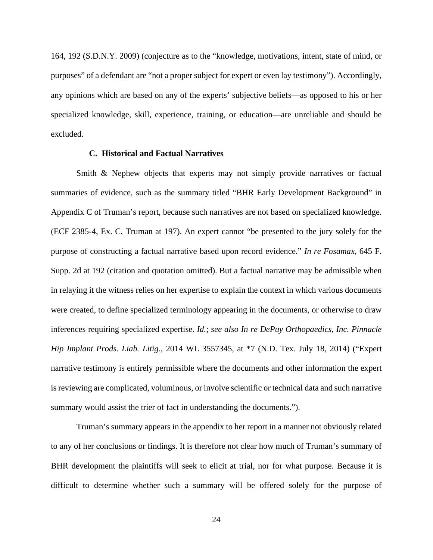164, 192 (S.D.N.Y. 2009) (conjecture as to the "knowledge, motivations, intent, state of mind, or purposes" of a defendant are "not a proper subject for expert or even lay testimony"). Accordingly, any opinions which are based on any of the experts' subjective beliefs—as opposed to his or her specialized knowledge, skill, experience, training, or education—are unreliable and should be excluded.

## **C. Historical and Factual Narratives**

Smith & Nephew objects that experts may not simply provide narratives or factual summaries of evidence, such as the summary titled "BHR Early Development Background" in Appendix C of Truman's report, because such narratives are not based on specialized knowledge. (ECF 2385-4, Ex. C, Truman at 197). An expert cannot "be presented to the jury solely for the purpose of constructing a factual narrative based upon record evidence." *In re Fosamax*, 645 F. Supp. 2d at 192 (citation and quotation omitted). But a factual narrative may be admissible when in relaying it the witness relies on her expertise to explain the context in which various documents were created, to define specialized terminology appearing in the documents, or otherwise to draw inferences requiring specialized expertise. *Id.*; *see also In re DePuy Orthopaedics, Inc. Pinnacle Hip Implant Prods. Liab. Litig.*, 2014 WL 3557345, at \*7 (N.D. Tex. July 18, 2014) ("Expert narrative testimony is entirely permissible where the documents and other information the expert is reviewing are complicated, voluminous, or involve scientific or technical data and such narrative summary would assist the trier of fact in understanding the documents.").

Truman's summary appears in the appendix to her report in a manner not obviously related to any of her conclusions or findings. It is therefore not clear how much of Truman's summary of BHR development the plaintiffs will seek to elicit at trial, nor for what purpose. Because it is difficult to determine whether such a summary will be offered solely for the purpose of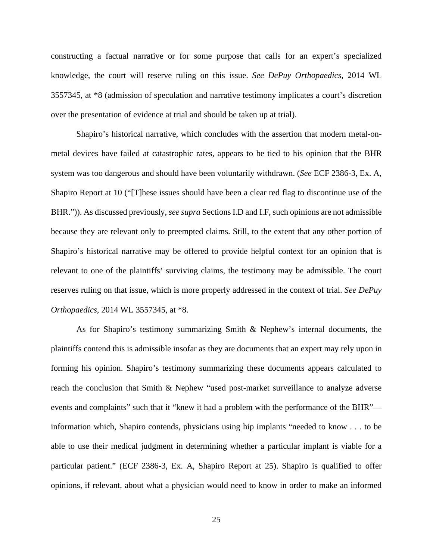constructing a factual narrative or for some purpose that calls for an expert's specialized knowledge, the court will reserve ruling on this issue. *See DePuy Orthopaedics*, 2014 WL 3557345, at \*8 (admission of speculation and narrative testimony implicates a court's discretion over the presentation of evidence at trial and should be taken up at trial).

Shapiro's historical narrative, which concludes with the assertion that modern metal-onmetal devices have failed at catastrophic rates, appears to be tied to his opinion that the BHR system was too dangerous and should have been voluntarily withdrawn. (*See* ECF 2386-3, Ex. A, Shapiro Report at 10 ("[T]hese issues should have been a clear red flag to discontinue use of the BHR.")). As discussed previously, *see supra* Sections I.D and I.F, such opinions are not admissible because they are relevant only to preempted claims. Still, to the extent that any other portion of Shapiro's historical narrative may be offered to provide helpful context for an opinion that is relevant to one of the plaintiffs' surviving claims, the testimony may be admissible. The court reserves ruling on that issue, which is more properly addressed in the context of trial. *See DePuy Orthopaedics*, 2014 WL 3557345, at \*8.

As for Shapiro's testimony summarizing Smith & Nephew's internal documents, the plaintiffs contend this is admissible insofar as they are documents that an expert may rely upon in forming his opinion. Shapiro's testimony summarizing these documents appears calculated to reach the conclusion that Smith & Nephew "used post-market surveillance to analyze adverse events and complaints" such that it "knew it had a problem with the performance of the BHR" information which, Shapiro contends, physicians using hip implants "needed to know . . . to be able to use their medical judgment in determining whether a particular implant is viable for a particular patient." (ECF 2386-3, Ex. A, Shapiro Report at 25). Shapiro is qualified to offer opinions, if relevant, about what a physician would need to know in order to make an informed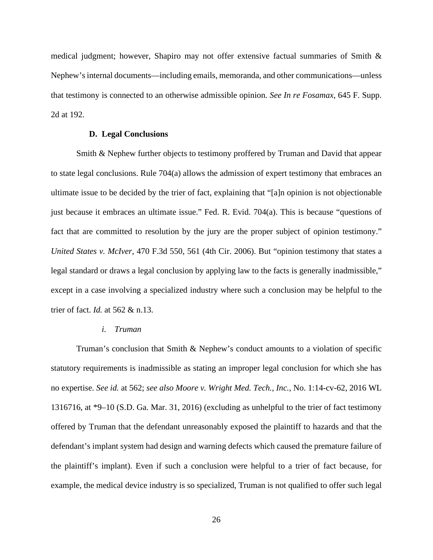medical judgment; however, Shapiro may not offer extensive factual summaries of Smith & Nephew's internal documents—including emails, memoranda, and other communications—unless that testimony is connected to an otherwise admissible opinion. *See In re Fosamax*, 645 F. Supp. 2d at 192.

## **D. Legal Conclusions**

Smith & Nephew further objects to testimony proffered by Truman and David that appear to state legal conclusions. Rule 704(a) allows the admission of expert testimony that embraces an ultimate issue to be decided by the trier of fact, explaining that "[a]n opinion is not objectionable just because it embraces an ultimate issue." Fed. R. Evid. 704(a). This is because "questions of fact that are committed to resolution by the jury are the proper subject of opinion testimony." *United States v. McIver*, 470 F.3d 550, 561 (4th Cir. 2006). But "opinion testimony that states a legal standard or draws a legal conclusion by applying law to the facts is generally inadmissible," except in a case involving a specialized industry where such a conclusion may be helpful to the trier of fact. *Id.* at 562 & n.13.

#### *i. Truman*

Truman's conclusion that Smith & Nephew's conduct amounts to a violation of specific statutory requirements is inadmissible as stating an improper legal conclusion for which she has no expertise. *See id.* at 562; *see also Moore v. Wright Med. Tech., Inc.*, No. 1:14-cv-62, 2016 WL 1316716, at \*9–10 (S.D. Ga. Mar. 31, 2016) (excluding as unhelpful to the trier of fact testimony offered by Truman that the defendant unreasonably exposed the plaintiff to hazards and that the defendant's implant system had design and warning defects which caused the premature failure of the plaintiff's implant). Even if such a conclusion were helpful to a trier of fact because, for example, the medical device industry is so specialized, Truman is not qualified to offer such legal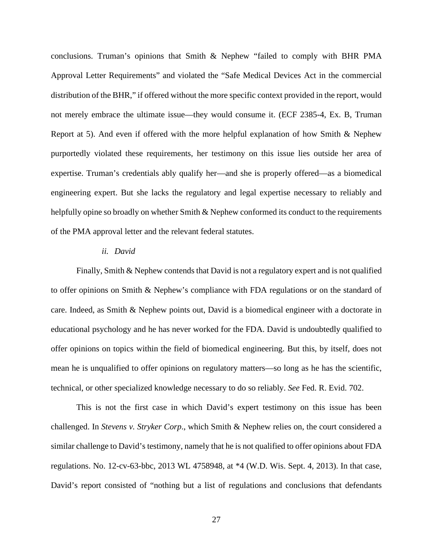conclusions. Truman's opinions that Smith & Nephew "failed to comply with BHR PMA Approval Letter Requirements" and violated the "Safe Medical Devices Act in the commercial distribution of the BHR," if offered without the more specific context provided in the report, would not merely embrace the ultimate issue—they would consume it. (ECF 2385-4, Ex. B, Truman Report at 5). And even if offered with the more helpful explanation of how Smith & Nephew purportedly violated these requirements, her testimony on this issue lies outside her area of expertise. Truman's credentials ably qualify her—and she is properly offered—as a biomedical engineering expert. But she lacks the regulatory and legal expertise necessary to reliably and helpfully opine so broadly on whether Smith & Nephew conformed its conduct to the requirements of the PMA approval letter and the relevant federal statutes.

## *ii. David*

Finally, Smith & Nephew contends that David is not a regulatory expert and is not qualified to offer opinions on Smith & Nephew's compliance with FDA regulations or on the standard of care. Indeed, as Smith & Nephew points out, David is a biomedical engineer with a doctorate in educational psychology and he has never worked for the FDA. David is undoubtedly qualified to offer opinions on topics within the field of biomedical engineering. But this, by itself, does not mean he is unqualified to offer opinions on regulatory matters—so long as he has the scientific, technical, or other specialized knowledge necessary to do so reliably. *See* Fed. R. Evid. 702.

This is not the first case in which David's expert testimony on this issue has been challenged. In *Stevens v. Stryker Corp*., which Smith & Nephew relies on, the court considered a similar challenge to David's testimony, namely that he is not qualified to offer opinions about FDA regulations. No. 12-cv-63-bbc, 2013 WL 4758948, at \*4 (W.D. Wis. Sept. 4, 2013). In that case, David's report consisted of "nothing but a list of regulations and conclusions that defendants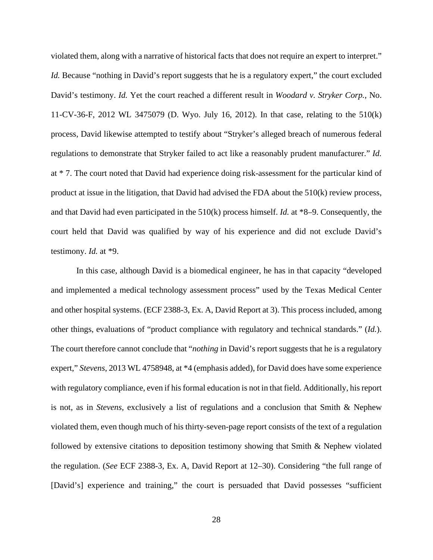violated them, along with a narrative of historical facts that does not require an expert to interpret." *Id.* Because "nothing in David's report suggests that he is a regulatory expert," the court excluded David's testimony. *Id.* Yet the court reached a different result in *Woodard v. Stryker Corp.*, No. 11-CV-36-F, 2012 WL 3475079 (D. Wyo. July 16, 2012). In that case, relating to the 510(k) process, David likewise attempted to testify about "Stryker's alleged breach of numerous federal regulations to demonstrate that Stryker failed to act like a reasonably prudent manufacturer." *Id.*  at \* 7. The court noted that David had experience doing risk-assessment for the particular kind of product at issue in the litigation, that David had advised the FDA about the 510(k) review process, and that David had even participated in the 510(k) process himself. *Id.* at \*8–9. Consequently, the court held that David was qualified by way of his experience and did not exclude David's testimony. *Id.* at \*9.

In this case, although David is a biomedical engineer, he has in that capacity "developed and implemented a medical technology assessment process" used by the Texas Medical Center and other hospital systems. (ECF 2388-3, Ex. A, David Report at 3). This process included, among other things, evaluations of "product compliance with regulatory and technical standards." (*Id.*). The court therefore cannot conclude that "*nothing* in David's report suggests that he is a regulatory expert," *Stevens*, 2013 WL 4758948, at \*4 (emphasis added), for David does have some experience with regulatory compliance, even if his formal education is not in that field. Additionally, his report is not, as in *Stevens*, exclusively a list of regulations and a conclusion that Smith & Nephew violated them, even though much of his thirty-seven-page report consists of the text of a regulation followed by extensive citations to deposition testimony showing that Smith & Nephew violated the regulation. (*See* ECF 2388-3, Ex. A, David Report at 12–30). Considering "the full range of [David's] experience and training," the court is persuaded that David possesses "sufficient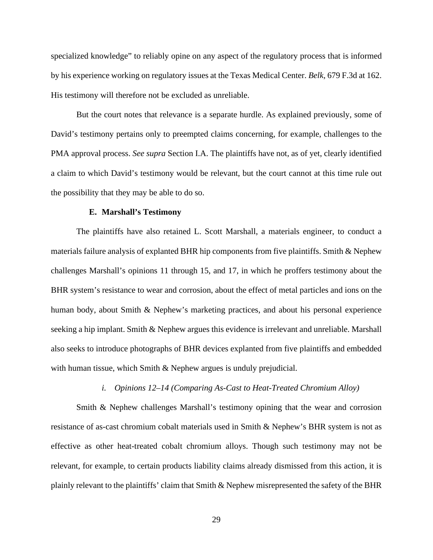specialized knowledge" to reliably opine on any aspect of the regulatory process that is informed by his experience working on regulatory issues at the Texas Medical Center. *Belk*, 679 F.3d at 162. His testimony will therefore not be excluded as unreliable.

But the court notes that relevance is a separate hurdle. As explained previously, some of David's testimony pertains only to preempted claims concerning, for example, challenges to the PMA approval process. *See supra* Section I.A. The plaintiffs have not, as of yet, clearly identified a claim to which David's testimony would be relevant, but the court cannot at this time rule out the possibility that they may be able to do so.

#### **E. Marshall's Testimony**

The plaintiffs have also retained L. Scott Marshall, a materials engineer, to conduct a materials failure analysis of explanted BHR hip components from five plaintiffs. Smith & Nephew challenges Marshall's opinions 11 through 15, and 17, in which he proffers testimony about the BHR system's resistance to wear and corrosion, about the effect of metal particles and ions on the human body, about Smith & Nephew's marketing practices, and about his personal experience seeking a hip implant. Smith & Nephew argues this evidence is irrelevant and unreliable. Marshall also seeks to introduce photographs of BHR devices explanted from five plaintiffs and embedded with human tissue, which Smith & Nephew argues is unduly prejudicial.

#### *i. Opinions 12–14 (Comparing As-Cast to Heat-Treated Chromium Alloy)*

Smith & Nephew challenges Marshall's testimony opining that the wear and corrosion resistance of as-cast chromium cobalt materials used in Smith & Nephew's BHR system is not as effective as other heat-treated cobalt chromium alloys. Though such testimony may not be relevant, for example, to certain products liability claims already dismissed from this action, it is plainly relevant to the plaintiffs' claim that Smith & Nephew misrepresented the safety of the BHR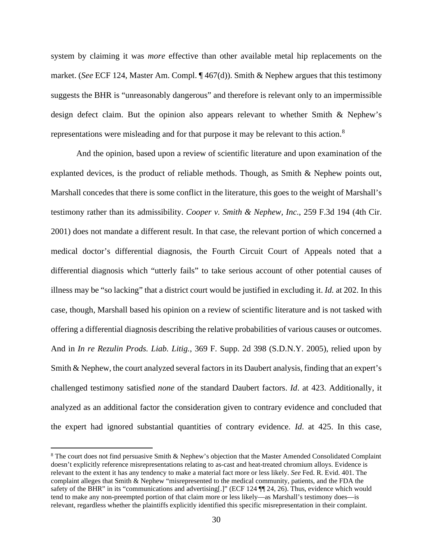system by claiming it was *more* effective than other available metal hip replacements on the market. (*See* ECF 124, Master Am. Compl. ¶ 467(d)). Smith & Nephew argues that this testimony suggests the BHR is "unreasonably dangerous" and therefore is relevant only to an impermissible design defect claim. But the opinion also appears relevant to whether Smith & Nephew's representations were misleading and for that purpose it may be relevant to this action.<sup>[8](#page-29-0)</sup>

And the opinion, based upon a review of scientific literature and upon examination of the explanted devices, is the product of reliable methods. Though, as Smith & Nephew points out, Marshall concedes that there is some conflict in the literature, this goes to the weight of Marshall's testimony rather than its admissibility. *Cooper v. Smith & Nephew, Inc*., 259 F.3d 194 (4th Cir. 2001) does not mandate a different result. In that case, the relevant portion of which concerned a medical doctor's differential diagnosis, the Fourth Circuit Court of Appeals noted that a differential diagnosis which "utterly fails" to take serious account of other potential causes of illness may be "so lacking" that a district court would be justified in excluding it. *Id.* at 202. In this case, though, Marshall based his opinion on a review of scientific literature and is not tasked with offering a differential diagnosis describing the relative probabilities of various causes or outcomes. And in *In re Rezulin Prods. Liab. Litig.*, 369 F. Supp. 2d 398 (S.D.N.Y. 2005), relied upon by Smith & Nephew, the court analyzed several factors in its Daubert analysis, finding that an expert's challenged testimony satisfied *none* of the standard Daubert factors. *Id*. at 423. Additionally, it analyzed as an additional factor the consideration given to contrary evidence and concluded that the expert had ignored substantial quantities of contrary evidence. *Id*. at 425. In this case,

<span id="page-29-0"></span><sup>&</sup>lt;sup>8</sup> The court does not find persuasive Smith & Nephew's objection that the Master Amended Consolidated Complaint doesn't explicitly reference misrepresentations relating to as-cast and heat-treated chromium alloys. Evidence is relevant to the extent it has any tendency to make a material fact more or less likely. *See* Fed. R. Evid. 401. The complaint alleges that Smith & Nephew "misrepresented to the medical community, patients, and the FDA the safety of the BHR" in its "communications and advertising[.]" (ECF 124  $\P$ ] 24, 26). Thus, evidence which would tend to make any non-preempted portion of that claim more or less likely—as Marshall's testimony does—is relevant, regardless whether the plaintiffs explicitly identified this specific misrepresentation in their complaint.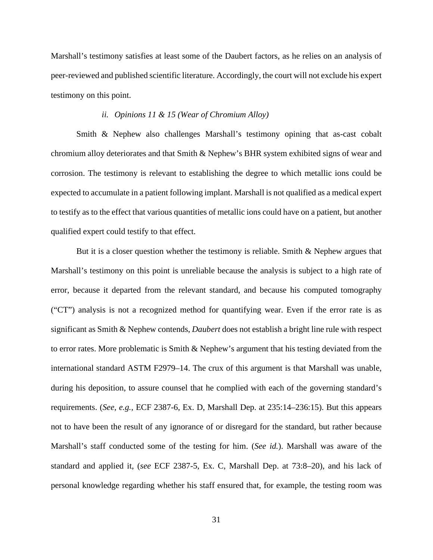Marshall's testimony satisfies at least some of the Daubert factors, as he relies on an analysis of peer-reviewed and published scientific literature. Accordingly, the court will not exclude his expert testimony on this point.

## *ii. Opinions 11 & 15 (Wear of Chromium Alloy)*

Smith & Nephew also challenges Marshall's testimony opining that as-cast cobalt chromium alloy deteriorates and that Smith & Nephew's BHR system exhibited signs of wear and corrosion. The testimony is relevant to establishing the degree to which metallic ions could be expected to accumulate in a patient following implant. Marshall is not qualified as a medical expert to testify as to the effect that various quantities of metallic ions could have on a patient, but another qualified expert could testify to that effect.

But it is a closer question whether the testimony is reliable. Smith & Nephew argues that Marshall's testimony on this point is unreliable because the analysis is subject to a high rate of error, because it departed from the relevant standard, and because his computed tomography ("CT") analysis is not a recognized method for quantifying wear. Even if the error rate is as significant as Smith & Nephew contends, *Daubert* does not establish a bright line rule with respect to error rates. More problematic is Smith & Nephew's argument that his testing deviated from the international standard ASTM F2979–14. The crux of this argument is that Marshall was unable, during his deposition, to assure counsel that he complied with each of the governing standard's requirements. (*See, e.g.*, ECF 2387-6, Ex. D, Marshall Dep. at 235:14–236:15). But this appears not to have been the result of any ignorance of or disregard for the standard, but rather because Marshall's staff conducted some of the testing for him. (*See id.*). Marshall was aware of the standard and applied it, (*see* ECF 2387-5, Ex. C, Marshall Dep. at 73:8–20), and his lack of personal knowledge regarding whether his staff ensured that, for example, the testing room was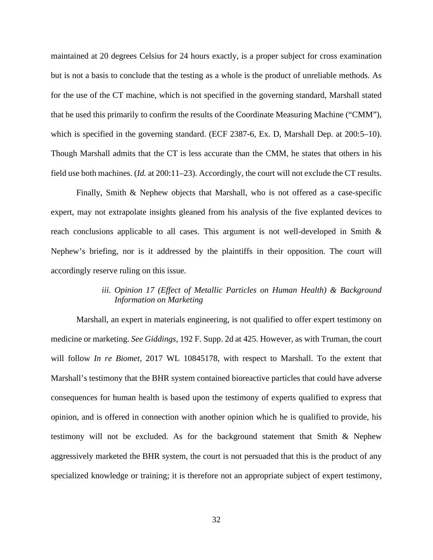maintained at 20 degrees Celsius for 24 hours exactly, is a proper subject for cross examination but is not a basis to conclude that the testing as a whole is the product of unreliable methods. As for the use of the CT machine, which is not specified in the governing standard, Marshall stated that he used this primarily to confirm the results of the Coordinate Measuring Machine ("CMM"), which is specified in the governing standard. (ECF 2387-6, Ex. D, Marshall Dep. at 200:5–10). Though Marshall admits that the CT is less accurate than the CMM, he states that others in his field use both machines. (*Id.* at 200:11–23). Accordingly, the court will not exclude the CT results.

Finally, Smith & Nephew objects that Marshall, who is not offered as a case-specific expert, may not extrapolate insights gleaned from his analysis of the five explanted devices to reach conclusions applicable to all cases. This argument is not well-developed in Smith & Nephew's briefing, nor is it addressed by the plaintiffs in their opposition. The court will accordingly reserve ruling on this issue.

# iii. Opinion 17 (Effect of Metallic Particles on Human Health) & Background *Information on Marketing*

Marshall, an expert in materials engineering, is not qualified to offer expert testimony on medicine or marketing. *See Giddings*, 192 F. Supp. 2d at 425. However, as with Truman, the court will follow *In re Biomet*, 2017 WL 10845178, with respect to Marshall. To the extent that Marshall's testimony that the BHR system contained bioreactive particles that could have adverse consequences for human health is based upon the testimony of experts qualified to express that opinion, and is offered in connection with another opinion which he is qualified to provide, his testimony will not be excluded. As for the background statement that Smith & Nephew aggressively marketed the BHR system, the court is not persuaded that this is the product of any specialized knowledge or training; it is therefore not an appropriate subject of expert testimony,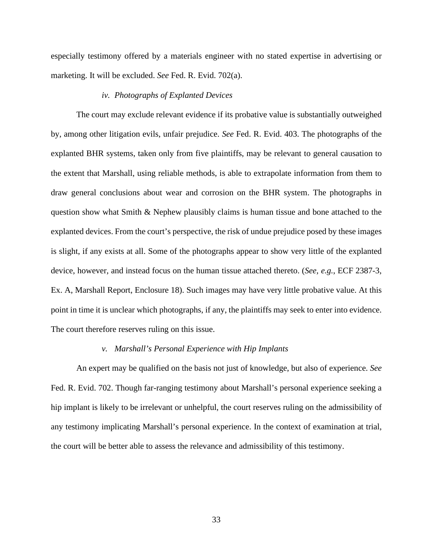especially testimony offered by a materials engineer with no stated expertise in advertising or marketing. It will be excluded. *See* Fed. R. Evid. 702(a).

## *iv. Photographs of Explanted Devices*

The court may exclude relevant evidence if its probative value is substantially outweighed by, among other litigation evils, unfair prejudice. *See* Fed. R. Evid. 403. The photographs of the explanted BHR systems, taken only from five plaintiffs, may be relevant to general causation to the extent that Marshall, using reliable methods, is able to extrapolate information from them to draw general conclusions about wear and corrosion on the BHR system. The photographs in question show what Smith & Nephew plausibly claims is human tissue and bone attached to the explanted devices. From the court's perspective, the risk of undue prejudice posed by these images is slight, if any exists at all. Some of the photographs appear to show very little of the explanted device, however, and instead focus on the human tissue attached thereto. (*See, e.g.*, ECF 2387-3, Ex. A, Marshall Report, Enclosure 18). Such images may have very little probative value. At this point in time it is unclear which photographs, if any, the plaintiffs may seek to enter into evidence. The court therefore reserves ruling on this issue.

#### *v. Marshall's Personal Experience with Hip Implants*

An expert may be qualified on the basis not just of knowledge, but also of experience. *See* Fed. R. Evid. 702. Though far-ranging testimony about Marshall's personal experience seeking a hip implant is likely to be irrelevant or unhelpful, the court reserves ruling on the admissibility of any testimony implicating Marshall's personal experience. In the context of examination at trial, the court will be better able to assess the relevance and admissibility of this testimony.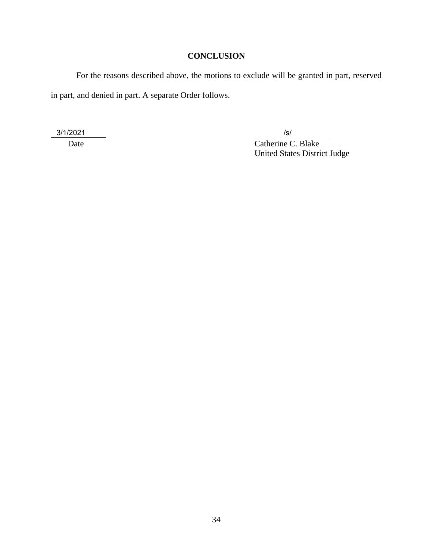# **CONCLUSION**

For the reasons described above, the motions to exclude will be granted in part, reserved in part, and denied in part. A separate Order follows.

\_\_\_\_\_\_\_\_\_\_\_\_\_ 3/1/2021 /s/

Date C. Blake United States District Judge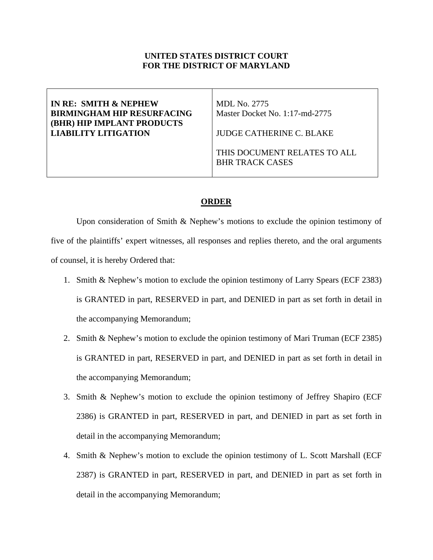# **UNITED STATES DISTRICT COURT FOR THE DISTRICT OF MARYLAND**

## **IN RE: SMITH & NEPHEW BIRMINGHAM HIP RESURFACING (BHR) HIP IMPLANT PRODUCTS LIABILITY LITIGATION**

MDL No. 2775 Master Docket No. 1:17-md-2775

JUDGE CATHERINE C. BLAKE

THIS DOCUMENT RELATES TO ALL BHR TRACK CASES

# **ORDER**

Upon consideration of Smith & Nephew's motions to exclude the opinion testimony of five of the plaintiffs' expert witnesses, all responses and replies thereto, and the oral arguments of counsel, it is hereby Ordered that:

- 1. Smith & Nephew's motion to exclude the opinion testimony of Larry Spears (ECF 2383) is GRANTED in part, RESERVED in part, and DENIED in part as set forth in detail in the accompanying Memorandum;
- 2. Smith & Nephew's motion to exclude the opinion testimony of Mari Truman (ECF 2385) is GRANTED in part, RESERVED in part, and DENIED in part as set forth in detail in the accompanying Memorandum;
- 3. Smith & Nephew's motion to exclude the opinion testimony of Jeffrey Shapiro (ECF 2386) is GRANTED in part, RESERVED in part, and DENIED in part as set forth in detail in the accompanying Memorandum;
- 4. Smith & Nephew's motion to exclude the opinion testimony of L. Scott Marshall (ECF 2387) is GRANTED in part, RESERVED in part, and DENIED in part as set forth in detail in the accompanying Memorandum;